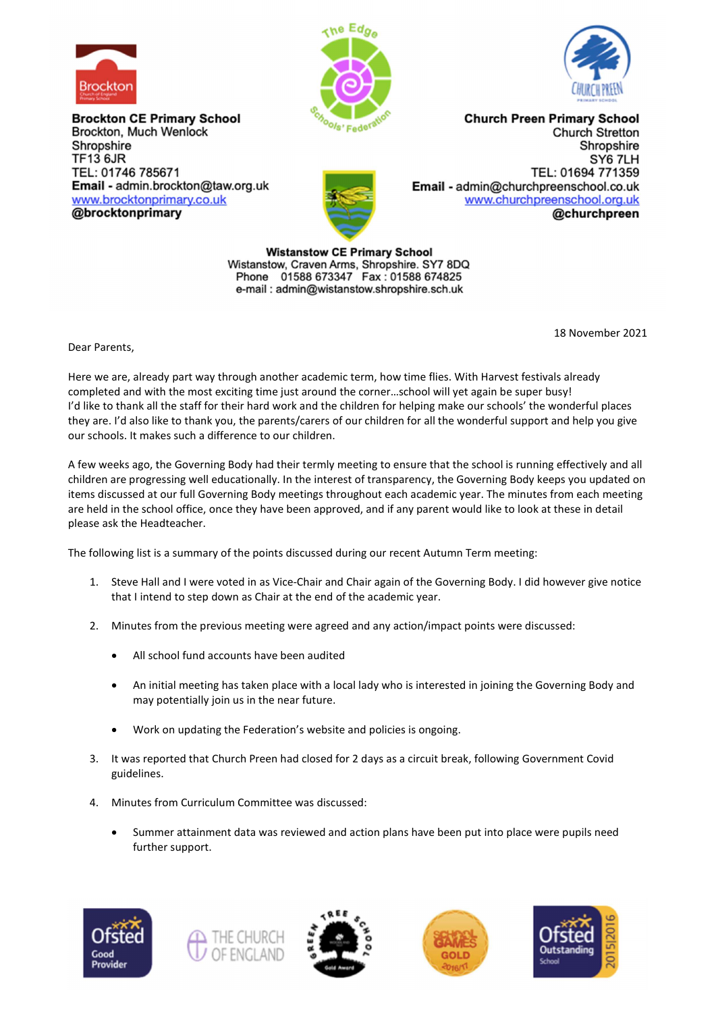

**Brockton CE Primary School** Brockton, Much Wenlock Shropshire **TF13 6JR** TEL: 01746 785671 Email - admin.brockton@taw.org.uk www.brocktonprimary.co.uk @brocktonprimary





**Church Preen Primary School Church Stretton** Shropshire SY6 7LH TEL: 01694 771359 Email - admin@churchpreenschool.co.uk www.churchpreenschool.org.uk @churchpreen

**Wistanstow CE Primary School** Wistanstow, Craven Arms, Shropshire. SY7 8DQ Phone 01588 673347 Fax: 01588 674825 e-mail: admin@wistanstow.shropshire.sch.uk

18 November 2021

Dear Parents,

Here we are, already part way through another academic term, how time flies. With Harvest festivals already completed and with the most exciting time just around the corner…school will yet again be super busy! I'd like to thank all the staff for their hard work and the children for helping make our schools' the wonderful places they are. I'd also like to thank you, the parents/carers of our children for all the wonderful support and help you give our schools. It makes such a difference to our children.

A few weeks ago, the Governing Body had their termly meeting to ensure that the school is running effectively and all children are progressing well educationally. In the interest of transparency, the Governing Body keeps you updated on items discussed at our full Governing Body meetings throughout each academic year. The minutes from each meeting are held in the school office, once they have been approved, and if any parent would like to look at these in detail please ask the Headteacher.

The following list is a summary of the points discussed during our recent Autumn Term meeting:

- 1. Steve Hall and I were voted in as Vice-Chair and Chair again of the Governing Body. I did however give notice that I intend to step down as Chair at the end of the academic year.
- 2. Minutes from the previous meeting were agreed and any action/impact points were discussed:
	- All school fund accounts have been audited
	- An initial meeting has taken place with a local lady who is interested in joining the Governing Body and may potentially join us in the near future.
	- Work on updating the Federation's website and policies is ongoing.
- 3. It was reported that Church Preen had closed for 2 days as a circuit break, following Government Covid guidelines.
- 4. Minutes from Curriculum Committee was discussed:
	- Summer attainment data was reviewed and action plans have been put into place were pupils need further support.